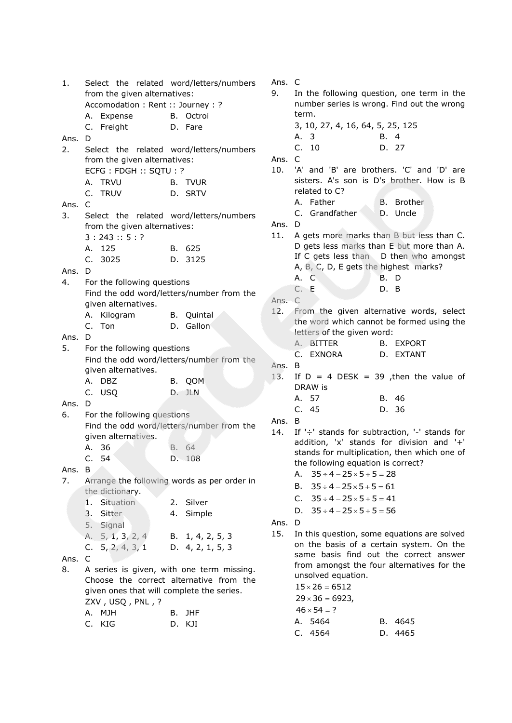| 1.     |                                           | Select the related word/letters/numbers     | Ans. C |                                               |
|--------|-------------------------------------------|---------------------------------------------|--------|-----------------------------------------------|
|        | from the given alternatives:              |                                             | 9.     | In the following question, one term in the    |
|        | Accomodation : Rent :: Journey : ?        |                                             |        | number series is wrong. Find out the wrong    |
|        |                                           | B. Octroi                                   |        | term.                                         |
|        | A. Expense                                |                                             |        |                                               |
|        | C. Freight                                | D. Fare                                     |        | 3, 10, 27, 4, 16, 64, 5, 25, 125              |
| Ans.   | D                                         |                                             |        | B. 4<br>А.<br>-3                              |
| 2.     |                                           | Select the related word/letters/numbers     |        | 10<br>C.<br>D. 27                             |
|        | from the given alternatives:              |                                             | Ans.   | $\mathsf{C}$                                  |
|        | ECFG: FDGH:: SQTU: ?                      |                                             | 10.    | 'A' and 'B' are brothers. 'C' and 'D' are     |
|        | A. TRVU                                   | B. TVUR                                     |        | sisters. A's son is D's brother. How is B     |
|        |                                           |                                             |        | related to C?                                 |
|        | C. TRUV                                   | D. SRTV                                     |        |                                               |
| Ans.   | $\mathsf{C}$                              |                                             |        | A. Father<br>B. Brother                       |
| 3.     |                                           | Select the related word/letters/numbers     |        | C. Grandfather<br>D. Uncle                    |
|        | from the given alternatives:              |                                             | Ans. D |                                               |
|        | 3:243::5:?                                |                                             | 11.    | A gets more marks than B but less than C.     |
|        | A. 125                                    |                                             |        | D gets less marks than E but more than A.     |
|        |                                           | B. 625                                      |        | If C gets less than D then who amongst        |
|        | C. 3025                                   | D. 3125                                     |        | A, B, C, D, E gets the highest marks?         |
| Ans.   | D                                         |                                             |        |                                               |
| 4.     | For the following questions               |                                             |        | A. C<br>B. D                                  |
|        |                                           | Find the odd word/letters/number from the   |        | C. E<br>D. B                                  |
|        | given alternatives.                       |                                             | Ans. C |                                               |
|        |                                           |                                             | 12.    | From the given alternative words, select      |
|        | A. Kilogram                               | B. Quintal                                  |        | the word which cannot be formed using the     |
|        | C. Ton                                    | D. Gallon                                   |        | letters of the given word:                    |
| Ans.   | D                                         |                                             |        | A. BITTER<br><b>B. EXPORT</b>                 |
| 5.     | For the following questions               |                                             |        |                                               |
|        |                                           | Find the odd word/letters/number from the   |        | C.<br>EXNORA<br>D. EXTANT                     |
|        | given alternatives.                       |                                             | Ans.   | B                                             |
|        | A. DBZ                                    |                                             | 13.    | If $D = 4$ DESK = 39 , then the value of      |
|        |                                           | B. QOM                                      |        | DRAW is                                       |
|        | C. USQ                                    | D. JLN                                      |        | A. 57<br>B. 46                                |
| Ans.   | D                                         |                                             |        | C.<br>D. 36<br>45                             |
| 6.     | For the following questions               |                                             |        |                                               |
|        |                                           | Find the odd word/letters/number from the   | Ans.   | B                                             |
|        | given alternatives.                       |                                             | 14.    | If '÷' stands for subtraction, '-' stands for |
|        | A. 36                                     | B. 64                                       |        | addition, 'x' stands for division and '+'     |
|        |                                           |                                             |        | stands for multiplication, then which one of  |
|        | C. 54                                     | D. 108                                      |        | the following equation is correct?            |
| Ans. B |                                           |                                             |        | A. $35 \div 4 - 25 \times 5 + 5 = 28$         |
| 7.     |                                           | Arrange the following words as per order in |        | $35 \div 4 - 25 \times 5 + 5 = 61$<br>В.      |
|        | the dictionary.                           |                                             |        |                                               |
|        | 1. Situation                              | 2. Silver                                   |        | C. $35 \div 4 - 25 \times 5 + 5 = 41$         |
|        | 3.<br>Sitter                              | 4. Simple                                   |        | D. $35 \div 4 - 25 \times 5 + 5 = 56$         |
|        |                                           |                                             | Ans. D |                                               |
|        | 5. Signal                                 |                                             |        |                                               |
|        | A. 5, 1, 3, 2, 4                          | B. 1, 4, 2, 5, 3                            | 15.    | In this question, some equations are solved   |
|        | C. $5, 2, 4, 3, 1$                        | D. 4, 2, 1, 5, 3                            |        | on the basis of a certain system. On the      |
| Ans.   | C                                         |                                             |        | same basis find out the correct answer        |
| 8.     |                                           | A series is given, with one term missing.   |        | from amongst the four alternatives for the    |
|        |                                           | Choose the correct alternative from the     |        | unsolved equation.                            |
|        |                                           |                                             |        | $15 \times 26 = 6512$                         |
|        | given ones that will complete the series. |                                             |        | $29 \times 36 = 6923,$                        |
|        | ZXV, USQ, PNL, ?                          |                                             |        | $46 \times 54 = ?$                            |
|        | A. MJH                                    | B. JHF                                      |        |                                               |
|        | C. KIG                                    | D. KJI                                      |        | A. 5464<br>B. 4645                            |
|        |                                           |                                             |        | C. 4564<br>D. 4465                            |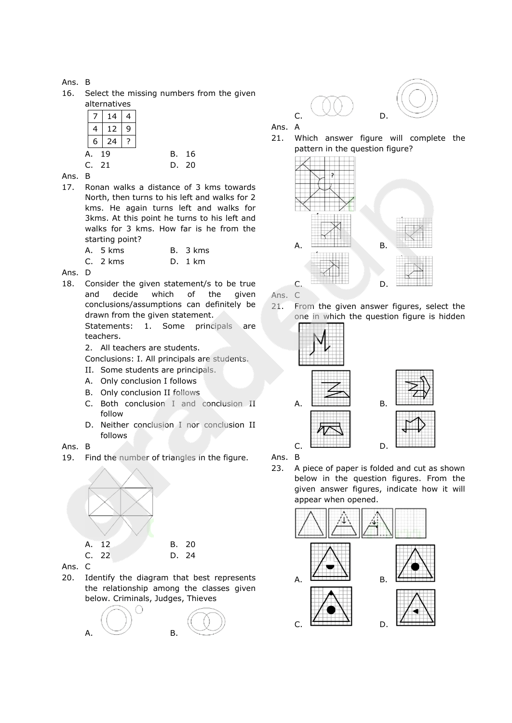# Ans. B

16. Select the missing numbers from the given alternatives

|   |   | 14 |   |  |
|---|---|----|---|--|
|   |   | 12 | 9 |  |
|   | 6 | 24 |   |  |
| А |   | 19 |   |  |
| ⊂ |   | 21 |   |  |

### Ans. B

- 17. Ronan walks a distance of 3 kms towards North, then turns to his left and walks for 2 kms. He again turns left and walks for 3kms. At this point he turns to his left and walks for 3 kms. How far is he from the starting point?
	- A. 5 kms B. 3 kms C. 2 kms D. 1 km
- Ans. D
- 18. Consider the given statement/s to be true and decide which of the given conclusions/assumptions can definitely be drawn from the given statement.

Statements: 1. Some principals are teachers.

- 2. All teachers are students.
- Conclusions: I. All principals are students.
- II. Some students are principals.
- A. Only conclusion I follows
- B. Only conclusion II follows
- C. Both conclusion I and conclusion II follow
- D. Neither conclusion I nor conclusion II follows

# Ans. B

19. Find the number of triangles in the figure.



Ans. C

20. Identify the diagram that best represents the relationship among the classes given below. Criminals, Judges, Thieves







Ans. A

21. Which answer figure will complete the pattern in the question figure?



Ans. C

21. From the given answer figures, select the one in which the question figure is hidden





Ans. B

23. A piece of paper is folded and cut as shown below in the question figures. From the given answer figures, indicate how it will appear when opened.

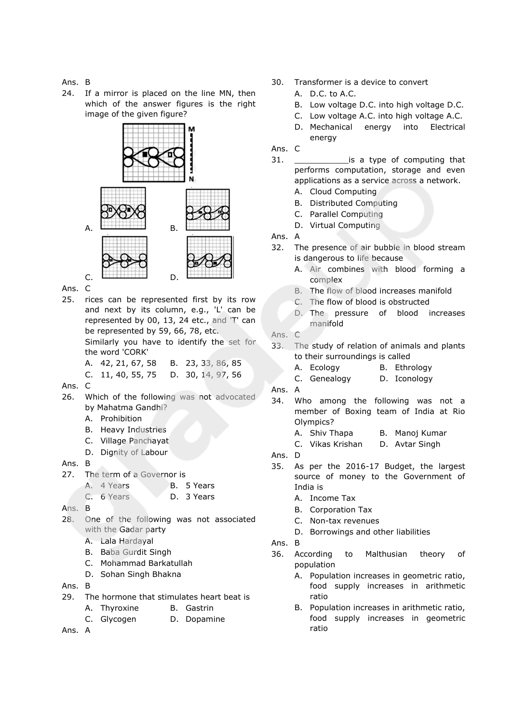Ans. B

24. If a mirror is placed on the line MN, then which of the answer figures is the right image of the given figure?



Ans. C

25. rices can be represented first by its row and next by its column, e.g., 'L' can be represented by 00, 13, 24 etc., and 'T' can be represented by 59, 66, 78, etc.

Similarly you have to identify the set for the word 'CORK'

- A. 42, 21, 67, 58 B. 23, 33, 86, 85
- C. 11, 40, 55, 75 D. 30, 14, 97, 56
- Ans. C
- 26. Which of the following was not advocated by Mahatma Gandhi?
	- A. Prohibition
	- B. Heavy Industries
	- C. Village Panchayat
	- D. Dignity of Labour
- Ans. B
- 27. The term of a Governor is
	- A. 4 Years B. 5 Years
	- C. 6 Years D. 3 Years

Ans. B

- 28. One of the following was not associated with the Gadar party
	- A. Lala Hardayal
	- B. Baba Gurdit Singh
	- C. Mohammad Barkatullah
	- D. Sohan Singh Bhakna

Ans. B

- 29. The hormone that stimulates heart beat is
	- A. Thyroxine B. Gastrin
	- C. Glycogen D. Dopamine
- Ans. A
- 30. Transformer is a device to convert
	- A. D.C. to A.C.
	- B. Low voltage D.C. into high voltage D.C.
	- C. Low voltage A.C. into high voltage A.C.
	- D. Mechanical energy into Electrical energy
- Ans. C
- 31. \_\_\_\_\_\_\_\_\_\_\_is a type of computing that performs computation, storage and even applications as a service across a network.
	- A. Cloud Computing
	- B. Distributed Computing
	- C. Parallel Computing D. Virtual Computing
- Ans. A
- 32. The presence of air bubble in blood stream is dangerous to life because
	- A. Air combines with blood forming a complex
	- B. The flow of blood increases manifold
	- C. The flow of blood is obstructed
	- D. The pressure of blood increases manifold
- Ans. C
- 33. The study of relation of animals and plants to their surroundings is called
	- A. Ecology B. Ethrology
	- C. Genealogy D. Iconology
- Ans. A
- 34. Who among the following was not a member of Boxing team of India at Rio Olympics?
	- A. Shiv Thapa B. Manoj Kumar
	- C. Vikas Krishan D. Avtar Singh
- Ans. D
- 35. As per the 2016-17 Budget, the largest source of money to the Government of India is
	- A. Income Tax
	- B. Corporation Tax
	- C. Non-tax revenues
	- D. Borrowings and other liabilities
- Ans. B
- 36. According to Malthusian theory of population
	- A. Population increases in geometric ratio, food supply increases in arithmetic ratio
	- B. Population increases in arithmetic ratio, food supply increases in geometric ratio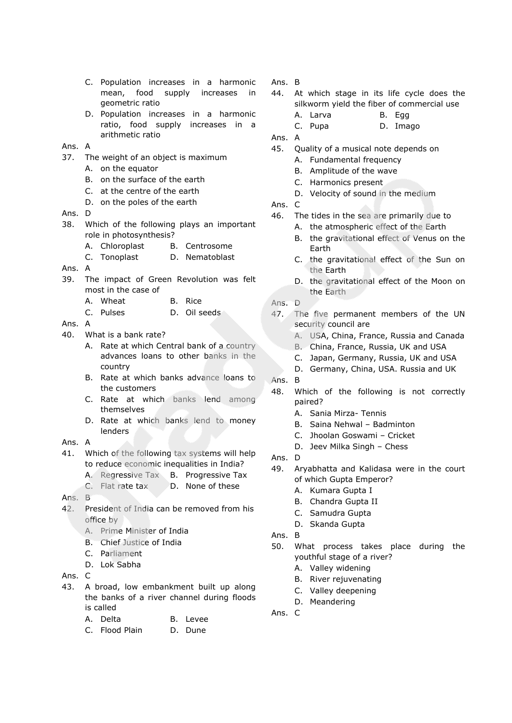- C. Population increases in a harmonic mean, food supply increases in geometric ratio
- D. Population increases in a harmonic ratio, food supply increases in a arithmetic ratio

#### Ans. A

- 37. The weight of an object is maximum
	- A. on the equator
	- B. on the surface of the earth
	- C. at the centre of the earth
	- D. on the poles of the earth
- Ans. D
- 38. Which of the following plays an important role in photosynthesis?
	- A. Chloroplast B. Centrosome
	- C. Tonoplast D. Nematoblast
- Ans. A
- 39. The impact of Green Revolution was felt most in the case of
	- A. Wheat B. Rice
	- C. Pulses D. Oil seeds
- Ans. A
- 40. What is a bank rate?
	- A. Rate at which Central bank of a country advances loans to other banks in the country
	- B. Rate at which banks advance loans to the customers
	- C. Rate at which banks lend among themselves
	- D. Rate at which banks lend to money lenders
- Ans. A
- 41. Which of the following tax systems will help to reduce economic inequalities in India?
	- A. Regressive Tax B. Progressive Tax
	- C. Flat rate tax D. None of these
- $Ans$  R
- 42. President of India can be removed from his office by
	- A. Prime Minister of India
	- B. Chief Justice of India
	- C. Parliament
	- D. Lok Sabha
- Ans. C
- 43. A broad, low embankment built up along the banks of a river channel during floods is called
	- A. Delta B. Levee
	- C. Flood Plain D. Dune
- Ans. B
- 44. At which stage in its life cycle does the silkworm yield the fiber of commercial use
	- A. Larva B. Egg
	- C. Pupa D. Imago
- Ans. A
- 45. Quality of a musical note depends on
	- A. Fundamental frequency
	- B. Amplitude of the wave
	- C. Harmonics present
	- D. Velocity of sound in the medium
- Ans. C
- 46. The tides in the sea are primarily due to
	- A. the atmospheric effect of the Earth
	- B. the gravitational effect of Venus on the Earth
	- C. the gravitational effect of the Sun on the Earth
	- D. the gravitational effect of the Moon on the Earth
- Ans. D
- 47. The five permanent members of the UN security council are
	- A. USA, China, France, Russia and Canada
	- B. China, France, Russia, UK and USA
	- C. Japan, Germany, Russia, UK and USA
	- D. Germany, China, USA. Russia and UK
- Ans. B
- 48. Which of the following is not correctly paired?
	- A. Sania Mirza- Tennis
	- B. Saina Nehwal Badminton
	- C. Jhoolan Goswami Cricket
	- D. Jeev Milka Singh Chess
- Ans. D
- 49. Aryabhatta and Kalidasa were in the court of which Gupta Emperor?
	- A. Kumara Gupta I
	- B. Chandra Gupta II
	- C. Samudra Gupta
	- D. Skanda Gupta
- Ans. B
- 50. What process takes place during the youthful stage of a river?
	- A. Valley widening
	- B. River rejuvenating
	- C. Valley deepening
	- D. Meandering

Ans. C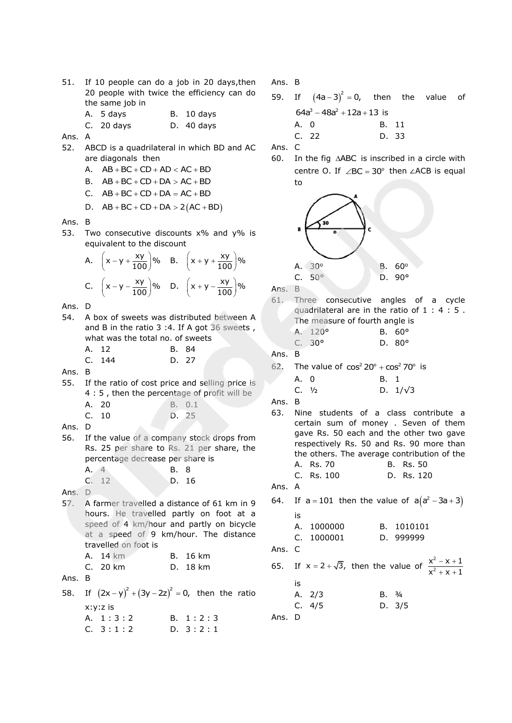| 51. If 10 people can do a job in 20 days, then |                                            |  |  |  |  |  |
|------------------------------------------------|--------------------------------------------|--|--|--|--|--|
|                                                | 20 people with twice the efficiency can do |  |  |  |  |  |
| the same job in                                |                                            |  |  |  |  |  |
| A. 5 days                                      | B. 10 days                                 |  |  |  |  |  |

C. 20 days D. 40 days

- Ans. A
- 52. ABCD is a quadrilateral in which BD and AC are diagonals then
	- $AB + BC + CD + AD < AC + BD$
	- B.  $AB + BC + CD + DA > AC + BD$
	- C.  $AB + BC + CD + DA = AC + BD$
	- D.  $AB + BC + CD + DA > 2(AC + BD)$
- Ans. B
- 53. Two consecutive discounts x% and y% is equivalent to the discount

A. 
$$
\left(x - y + \frac{xy}{100}\right)\%
$$
 B.  $\left(x + y + \frac{xy}{100}\right)\%$   
C.  $\left(x - y - \frac{xy}{100}\right)\%$  D.  $\left(x + y - \frac{xy}{100}\right)\%$ 

Ans. D

- 54. A box of sweets was distributed between A and B in the ratio 3 :4. If A got 36 sweets , what was the total no. of sweets
	- A. 12 B. 84 C. 144 D. 27

Ans. B

55. If the ratio of cost price and selling price is 4 : 5, then the percentage of profit will be

| A. 20 | B. 0.1 |
|-------|--------|
| C. 10 | D. 25  |

- Ans. D
- 56. If the value of a company stock drops from Rs. 25 per share to Rs. 21 per share, the percentage decrease per share is

| A. 4 |       | B. 8  |  |
|------|-------|-------|--|
|      | C. 12 | D. 16 |  |

Ans. D

57. A farmer travelled a distance of 61 km in 9 hours. He travelled partly on foot at a speed of 4 km/hour and partly on bicycle at a speed of 9 km/hour. The distance travelled on foot is

| A. 14 km | B. 16 km |
|----------|----------|
| C. 20 km | D. 18 km |

Ans. B

58. If  $(2x - y)^2 + (3y - 2z)^2 = 0$ , then the ratio x:y:z is A. 1:3:2 B. 1:2:3  $C. 3:1:2$  D.  $3:2:1$ 

Ans. B

59. If  $(4a-3)^2 = 0$ , then the value of  $64a^3 - 48a^2 + 12a + 13$  is A. 0 B. 11 C. 22 D. 33

Ans. C

60. In the fig  $\triangle ABC$  is inscribed in a circle with centre O. If  $\angle$ BC = 30° then  $\angle$ ACB is equal to



Ans. B

- 61. Three consecutive angles of a cycle quadrilateral are in the ratio of 1 : 4 : 5 . The measure of fourth angle is
	- A. 120° B. 60°

| C. $30^{\circ}$ | D. $80^\circ$ |
|-----------------|---------------|
|                 |               |

Ans. B

62. The value of  $cos^2 20^\circ + cos^2 70^\circ$  is

A. 0 B. 1 C.  $1/\sqrt{3}$  D.  $1/\sqrt{3}$ 

- Ans. B
- 63. Nine students of a class contribute a certain sum of money . Seven of them gave Rs. 50 each and the other two gave respectively Rs. 50 and Rs. 90 more than the others. The average contribution of the A. Rs. 70 B. Rs. 50 C. Rs. 100 D. Rs. 120

Ans. A

64.  $a = 101$  then the value of  $a(a^2 - 3a + 3)$ is A. 1000000 B. 1010101

C. 1000001 D. 999999

Ans. C

65.  $x = 2 + \sqrt{3}$ , then the value of  $\frac{x^2}{2}$ 2  $x^2 - x + 1$  $x^2 + x + 1$  $- x +$  $+ X +$ is A. 2/3 B. 3/4

C. 4/5 D. 3/5

Ans. D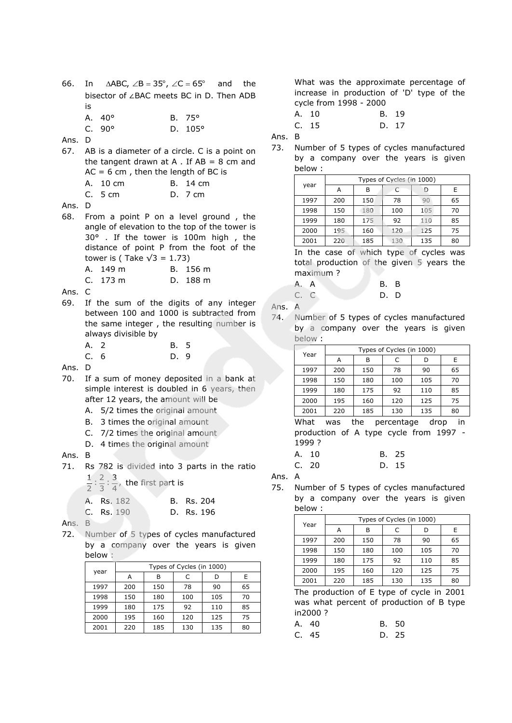66. In  $\triangle ABC$ ,  $\angle B = 35^\circ$ ,  $\angle C = 65^\circ$ and the bisector of ∠BAC meets BC in D. Then ADB is A. 40° B. 75°

C. 90° D. 105°

- Ans. D
- 67. AB is a diameter of a circle. C is a point on the tangent drawn at A. If  $AB = 8$  cm and  $AC = 6$  cm, then the length of BC is A. 10 cm B. 14 cm
	- C. 5 cm D. 7 cm
- Ans. D
- 68. From a point P on a level ground , the angle of elevation to the top of the tower is 30° . If the tower is 100m high , the distance of point P from the foot of the tower is (Take  $\sqrt{3}$  = 1.73)
	- A. 149 m B. 156 m
	- C. 173 m D. 188 m
- Ans. C
- 69. If the sum of the digits of any integer between 100 and 1000 is subtracted from the same integer , the resulting number is always divisible by
	- A. 2 B. 5
	- C. 6 D. 9

Ans. D

- 70. If a sum of money deposited in a bank at simple interest is doubled in 6 years, then after 12 years, the amount will be
	- A. 5/2 times the original amount
	- B. 3 times the original amount
	- C. 7/2 times the original amount
	- D. 4 times the original amount

#### Ans. B

- 71. Rs 782 is divided into 3 parts in the ratio
	- $\frac{1}{2}$  :  $\frac{2}{3}$  :  $\frac{3}{4}$ , the first part is

A. Rs. 182 B. Rs. 204

| C. Rs. 190 | D. Rs. 196 |  |
|------------|------------|--|
|------------|------------|--|

Ans. B

72. Number of 5 types of cycles manufactured by a company over the years is given below :

|      | Types of Cycles (in 1000) |     |     |     |    |  |  |
|------|---------------------------|-----|-----|-----|----|--|--|
| year | А                         | В   | C   | D   | E  |  |  |
| 1997 | 200                       | 150 | 78  | 90  | 65 |  |  |
| 1998 | 150                       | 180 | 100 | 105 | 70 |  |  |
| 1999 | 180                       | 175 | 92  | 110 | 85 |  |  |
| 2000 | 195                       | 160 | 120 | 125 | 75 |  |  |
| 2001 | 220                       | 185 | 130 | 135 | 80 |  |  |

What was the approximate percentage of increase in production of 'D' type of the cycle from 1998 - 2000

A. 10 B. 19 C. 15 D. 17

Ans. B

73. Number of 5 types of cycles manufactured by a company over the years is given below :

|      | Types of Cycles (in 1000) |     |     |     |    |  |
|------|---------------------------|-----|-----|-----|----|--|
| year | Α                         | В   | C   |     | Ε  |  |
| 1997 | 200                       | 150 | 78  | 90  | 65 |  |
| 1998 | 150                       | 180 | 100 | 105 | 70 |  |
| 1999 | 180                       | 175 | 92  | 110 | 85 |  |
| 2000 | 195                       | 160 | 120 | 125 | 75 |  |
| 2001 | 220                       | 185 | 130 | 135 | 80 |  |

In the case of which type of cycles was total production of the given 5 years the maximum ?

| A. A |  | B. B |
|------|--|------|
| C. C |  | D. D |

- Ans. A
- 74. Number of 5 types of cycles manufactured by a company over the years is given below :

| Year | Types of Cycles (in 1000) |     |     |     |    |  |
|------|---------------------------|-----|-----|-----|----|--|
|      | А                         | В   | C   | D   | Е  |  |
| 1997 | 200                       | 150 | 78  | 90  | 65 |  |
| 1998 | 150                       | 180 | 100 | 105 | 70 |  |
| 1999 | 180                       | 175 | 92  | 110 | 85 |  |
| 2000 | 195                       | 160 | 120 | 125 | 75 |  |
| 2001 | 220                       | 185 | 130 | 135 | 80 |  |

What was the percentage drop in production of A type cycle from 1997 - 1999 ?

| A. 10 | B. 25 |
|-------|-------|
| C. 20 | D. 15 |

Ans. A

75. Number of 5 types of cycles manufactured by a company over the years is given below :

| Year | Types of Cycles (in 1000) |     |     |     |    |  |
|------|---------------------------|-----|-----|-----|----|--|
|      | А                         | В   |     |     | Ε  |  |
| 1997 | 200                       | 150 | 78  | 90  | 65 |  |
| 1998 | 150                       | 180 | 100 | 105 | 70 |  |
| 1999 | 180                       | 175 | 92  | 110 | 85 |  |
| 2000 | 195                       | 160 | 120 | 125 | 75 |  |
| 2001 | 220                       | 185 | 130 | 135 | 80 |  |
|      |                           |     |     |     |    |  |

The production of E type of cycle in 2001 was what percent of production of B type in2000 ?

| A. 40 | B. 50 |
|-------|-------|
| C. 45 | D. 25 |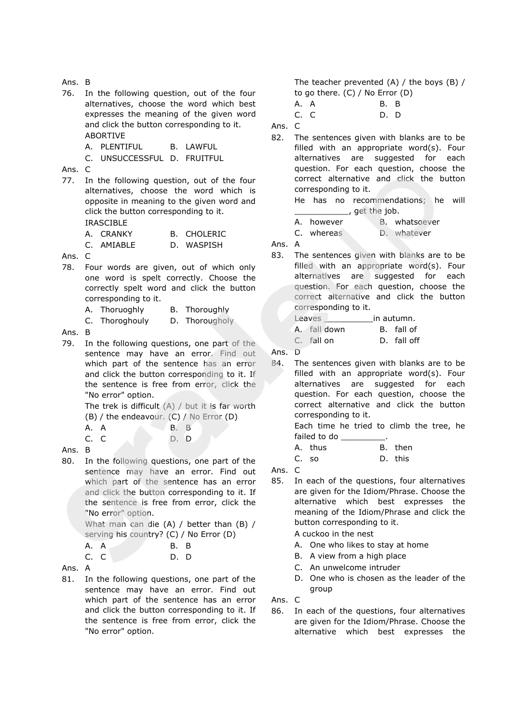Ans. B 76. In the following question, out of the four alternatives, choose the word which best expresses the meaning of the given word and click the button corresponding to it. ABORTIVE A. PLENTIFUL B. LAWFUL C. UNSUCCESSFUL D. FRUITFUL Ans. C 77. In the following question, out of the four alternatives, choose the word which is opposite in meaning to the given word and click the button corresponding to it. IRASCIBLE A. CRANKY B. CHOLERIC C. AMIABLE D. WASPISH Ans. C 78. Four words are given, out of which only one word is spelt correctly. Choose the correctly spelt word and click the button corresponding to it. A. Thoruoghly B. Thoroughly C. Thoroghouly D. Thorougholy Ans. B 79. In the following questions, one part of the sentence may have an error. Find out which part of the sentence has an error and click the button corresponding to it. If the sentence is free from error, click the "No error" option. The trek is difficult  $(A)$  / but it is far worth (B) / the endeavour. (C) / No Error (D) A. A B. B C. C D. D Ans. B 80. In the following questions, one part of the sentence may have an error. Find out which part of the sentence has an error and click the button corresponding to it. If the sentence is free from error, click the "No error" option. What man can die (A) / better than (B) / serving his country? (C) / No Error (D) A. A B. B C. C D. D Ans. A 81. In the following questions, one part of the sentence may have an error. Find out which part of the sentence has an error and click the button corresponding to it. If The teacher prevented (A) / the boys (B) / to go there. (C) / No Error (D) A. A B. B C. C D. D Ans. C 82. The sentences given with blanks are to be filled with an appropriate word(s). Four alternatives are suggested for each question. For each question, choose the correct alternative and click the button corresponding to it. He has no recommendations; he will \_\_\_\_\_\_\_\_\_\_\_, get the job. A. however B. whatsoever C. whereas D. whatever Ans. A 83. The sentences given with blanks are to be filled with an appropriate word(s). Four alternatives are suggested for each question. For each question, choose the correct alternative and click the button corresponding to it. Leaves \_\_\_\_\_\_\_\_\_\_in autumn. A. fall down B. fall of C. fall on D. fall off Ans. D 84. The sentences given with blanks are to be filled with an appropriate word(s). Four alternatives are suggested for each question. For each question, choose the correct alternative and click the button corresponding to it. Each time he tried to climb the tree, he failed to do A. thus B. then C. so D. this Ans. C 85. In each of the questions, four alternatives are given for the Idiom/Phrase. Choose the alternative which best expresses the meaning of the Idiom/Phrase and click the button corresponding to it. A cuckoo in the nest A. One who likes to stay at home B. A view from a high place C. An unwelcome intruder D. One who is chosen as the leader of the group Ans. C

the sentence is free from error, click the

"No error" option.

86. In each of the questions, four alternatives are given for the Idiom/Phrase. Choose the alternative which best expresses the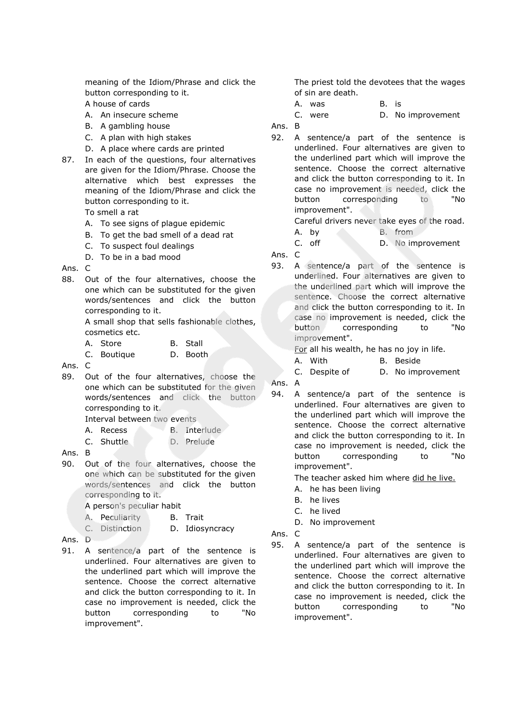meaning of the Idiom/Phrase and click the button corresponding to it.

A house of cards

- A. An insecure scheme
- B. A gambling house
- C. A plan with high stakes
- D. A place where cards are printed
- 87. In each of the questions, four alternatives are given for the Idiom/Phrase. Choose the alternative which best expresses the meaning of the Idiom/Phrase and click the button corresponding to it.

To smell a rat

- A. To see signs of plague epidemic
- B. To get the bad smell of a dead rat
- C. To suspect foul dealings
- D. To be in a bad mood

Ans. C

88. Out of the four alternatives, choose the one which can be substituted for the given words/sentences and click the button corresponding to it.

> A small shop that sells fashionable clothes, cosmetics etc.

- A. Store B. Stall
- C. Boutique D. Booth

Ans. C

89. Out of the four alternatives, choose the one which can be substituted for the given words/sentences and click the button corresponding to it.

Interval between two events

- A. Recess B. Interlude
- C. Shuttle D. Prelude
- Ans. B
- 90. Out of the four alternatives, choose the one which can be substituted for the given words/sentences and click the button corresponding to it.

A person's peculiar habit

- A. Peculiarity B. Trait
- C. Distinction D. Idiosyncracy
- Ans. D
- 91. A sentence/a part of the sentence is underlined. Four alternatives are given to the underlined part which will improve the sentence. Choose the correct alternative and click the button corresponding to it. In case no improvement is needed, click the button corresponding to "No improvement".

The priest told the devotees that the wages of sin are death.

A. was B. is

C. were  $D.$  No improvement

Ans. B

92. A sentence/a part of the sentence is underlined. Four alternatives are given to the underlined part which will improve the sentence. Choose the correct alternative and click the button corresponding to it. In case no improvement is needed, click the button corresponding to "No improvement".

Careful drivers never take eyes of the road.

- A. by B. from
- C. off D. No improvement

Ans. C

93. A sentence/a part of the sentence is underlined. Four alternatives are given to the underlined part which will improve the sentence. Choose the correct alternative and click the button corresponding to it. In case no improvement is needed, click the button corresponding to "No improvement".

For all his wealth, he has no joy in life.

- A. With B. Beside
- C. Despite of D. No improvement
- Ans. A
- 94. A sentence/a part of the sentence is underlined. Four alternatives are given to the underlined part which will improve the sentence. Choose the correct alternative and click the button corresponding to it. In case no improvement is needed, click the button corresponding to "No improvement".

The teacher asked him where did he live.

- A. he has been living
- B. he lives
- C. he lived
- D. No improvement
- Ans. C
- 95. A sentence/a part of the sentence is underlined. Four alternatives are given to the underlined part which will improve the sentence. Choose the correct alternative and click the button corresponding to it. In case no improvement is needed, click the button corresponding to "No improvement".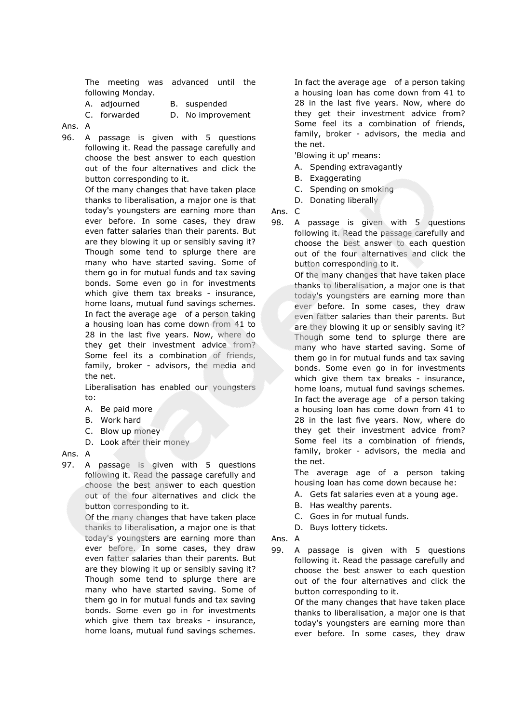The meeting was advanced until the following Monday.

A. adjourned B. suspended

C. forwarded D. No improvement

Ans. A

96. A passage is given with 5 questions following it. Read the passage carefully and choose the best answer to each question out of the four alternatives and click the button corresponding to it.

> Of the many changes that have taken place thanks to liberalisation, a major one is that today's youngsters are earning more than ever before. In some cases, they draw even fatter salaries than their parents. But are they blowing it up or sensibly saving it? Though some tend to splurge there are many who have started saving. Some of them go in for mutual funds and tax saving bonds. Some even go in for investments which give them tax breaks - insurance, home loans, mutual fund savings schemes. In fact the average age of a person taking a housing loan has come down from 41 to 28 in the last five years. Now, where do they get their investment advice from? Some feel its a combination of friends, family, broker - advisors, the media and the net.

Liberalisation has enabled our youngsters to:

- A. Be paid more
- B. Work hard
- C. Blow up money
- D. Look after their money

### Ans. A

97. A passage is given with 5 questions following it. Read the passage carefully and choose the best answer to each question out of the four alternatives and click the button corresponding to it.

> Of the many changes that have taken place thanks to liberalisation, a major one is that today's youngsters are earning more than ever before. In some cases, they draw even fatter salaries than their parents. But are they blowing it up or sensibly saving it? Though some tend to splurge there are many who have started saving. Some of them go in for mutual funds and tax saving bonds. Some even go in for investments which give them tax breaks - insurance, home loans, mutual fund savings schemes.

In fact the average age of a person taking a housing loan has come down from 41 to 28 in the last five years. Now, where do they get their investment advice from? Some feel its a combination of friends, family, broker - advisors, the media and the net.

'Blowing it up' means:

- A. Spending extravagantly
- B. Exaggerating
- C. Spending on smoking
- D. Donating liberally

Ans. C

98. A passage is given with 5 questions following it. Read the passage carefully and choose the best answer to each question out of the four alternatives and click the button corresponding to it.

> Of the many changes that have taken place thanks to liberalisation, a major one is that today's youngsters are earning more than ever before. In some cases, they draw even fatter salaries than their parents. But are they blowing it up or sensibly saving it? Though some tend to splurge there are many who have started saving. Some of them go in for mutual funds and tax saving bonds. Some even go in for investments which give them tax breaks - insurance, home loans, mutual fund savings schemes. In fact the average age of a person taking a housing loan has come down from 41 to 28 in the last five years. Now, where do they get their investment advice from? Some feel its a combination of friends, family, broker - advisors, the media and the net.

The average age of a person taking housing loan has come down because he:

- A. Gets fat salaries even at a young age.
- B. Has wealthy parents.
- C. Goes in for mutual funds.
- D. Buys lottery tickets.
- Ans. A
- 99. A passage is given with 5 questions following it. Read the passage carefully and choose the best answer to each question out of the four alternatives and click the button corresponding to it.

Of the many changes that have taken place thanks to liberalisation, a major one is that today's youngsters are earning more than ever before. In some cases, they draw